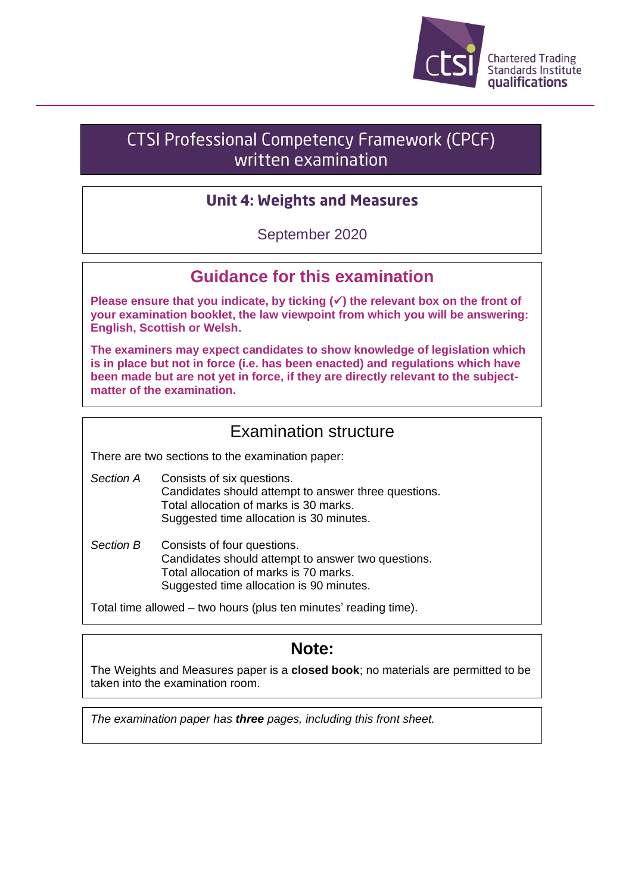

# **CTSI Professional Competency Framework (CPCF)** written examination

#### **Unit 4: Weights and Measures**

September 2020

### **Guidance for this examination**

**Please ensure that you indicate, by ticking (**✓**) the relevant box on the front of your examination booklet, the law viewpoint from which you will be answering: English, Scottish or Welsh.**

**The examiners may expect candidates to show knowledge of legislation which is in place but not in force (i.e. has been enacted) and regulations which have been made but are not yet in force, if they are directly relevant to the subjectmatter of the examination.**

### Examination structure

There are two sections to the examination paper:

- *Section A* Consists of six questions. Candidates should attempt to answer three questions. Total allocation of marks is 30 marks. Suggested time allocation is 30 minutes.
- *Section B* Consists of four questions. Candidates should attempt to answer two questions. Total allocation of marks is 70 marks. Suggested time allocation is 90 minutes.

Total time allowed – two hours (plus ten minutes' reading time).

## **Note:**

The Weights and Measures paper is a **closed book**; no materials are permitted to be taken into the examination room.

*The examination paper has three pages, including this front sheet.*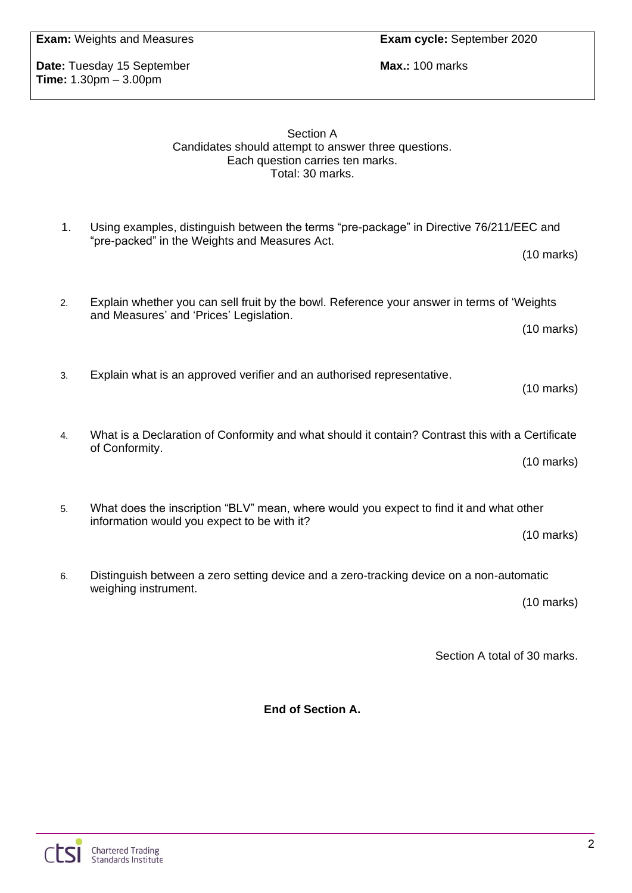**Date:** Tuesday 15 September **Max.: 100 marks Max.: 100 marks Time:** 1.30pm – 3.00pm

#### Section A Candidates should attempt to answer three questions. Each question carries ten marks. Total: 30 marks.

- 1. Using examples, distinguish between the terms "pre-package" in Directive 76/211/EEC and "pre-packed" in the Weights and Measures Act. (10 marks)
- 2. Explain whether you can sell fruit by the bowl. Reference your answer in terms of 'Weights and Measures' and 'Prices' Legislation. (10 marks)
- 3. Explain what is an approved verifier and an authorised representative.
- 4. What is a Declaration of Conformity and what should it contain? Contrast this with a Certificate of Conformity.

(10 marks)

(10 marks)

5. What does the inscription "BLV" mean, where would you expect to find it and what other information would you expect to be with it?

(10 marks)

6. Distinguish between a zero setting device and a zero-tracking device on a non-automatic weighing instrument.

(10 marks)

Section A total of 30 marks.

**End of Section A.**